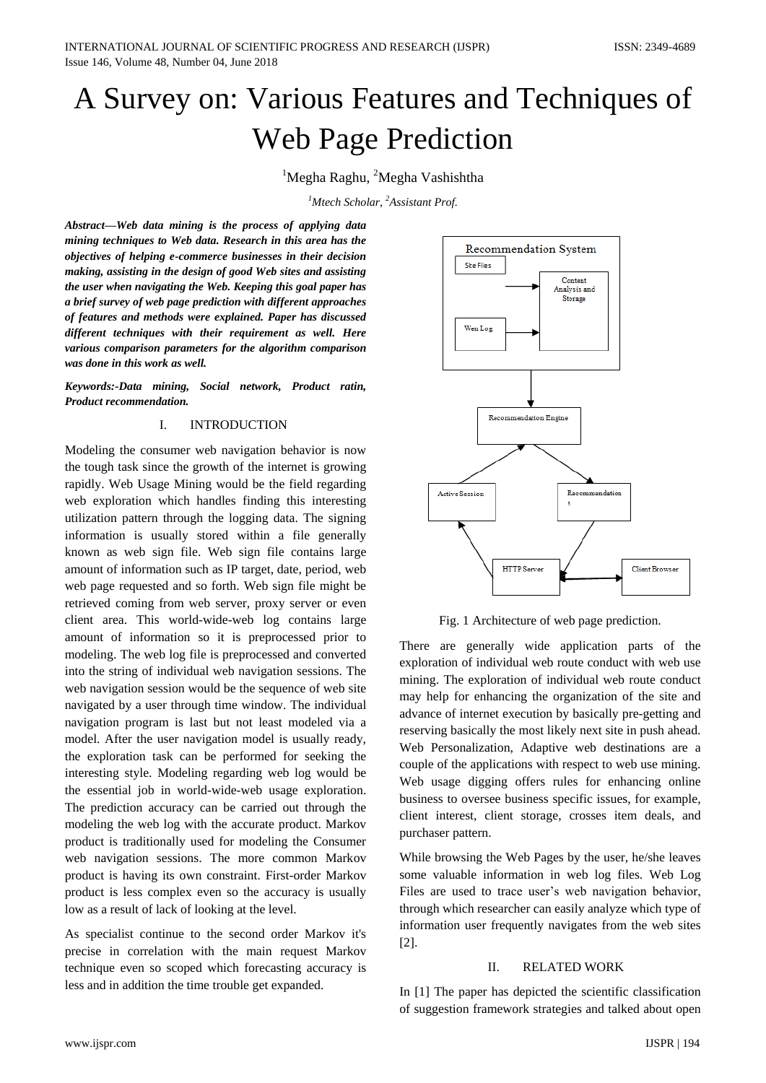# A Survey on: Various Features and Techniques of Web Page Prediction

 $1$ Megha Raghu, <sup>2</sup>Megha Vashishtha

*<sup>1</sup>Mtech Scholar, <sup>2</sup>Assistant Prof.*

*Abstract—Web data mining is the process of applying data mining techniques to Web data. Research in this area has the objectives of helping e-commerce businesses in their decision making, assisting in the design of good Web sites and assisting the user when navigating the Web. Keeping this goal paper has a brief survey of web page prediction with different approaches of features and methods were explained. Paper has discussed different techniques with their requirement as well. Here various comparison parameters for the algorithm comparison was done in this work as well.* 

*Keywords:-Data mining, Social network, Product ratin, Product recommendation.*

## I. INTRODUCTION

Modeling the consumer web navigation behavior is now the tough task since the growth of the internet is growing rapidly. Web Usage Mining would be the field regarding web exploration which handles finding this interesting utilization pattern through the logging data. The signing information is usually stored within a file generally known as web sign file. Web sign file contains large amount of information such as IP target, date, period, web web page requested and so forth. Web sign file might be retrieved coming from web server, proxy server or even client area. This world-wide-web log contains large amount of information so it is preprocessed prior to modeling. The web log file is preprocessed and converted into the string of individual web navigation sessions. The web navigation session would be the sequence of web site navigated by a user through time window. The individual navigation program is last but not least modeled via a model. After the user navigation model is usually ready, the exploration task can be performed for seeking the interesting style. Modeling regarding web log would be the essential job in world-wide-web usage exploration. The prediction accuracy can be carried out through the modeling the web log with the accurate product. Markov product is traditionally used for modeling the Consumer web navigation sessions. The more common Markov product is having its own constraint. First-order Markov product is less complex even so the accuracy is usually low as a result of lack of looking at the level.

As specialist continue to the second order Markov it's precise in correlation with the main request Markov technique even so scoped which forecasting accuracy is less and in addition the time trouble get expanded.



Fig. 1 Architecture of web page prediction.

There are generally wide application parts of the exploration of individual web route conduct with web use mining. The exploration of individual web route conduct may help for enhancing the organization of the site and advance of internet execution by basically pre-getting and reserving basically the most likely next site in push ahead. Web Personalization, Adaptive web destinations are a couple of the applications with respect to web use mining. Web usage digging offers rules for enhancing online business to oversee business specific issues, for example, client interest, client storage, crosses item deals, and purchaser pattern.

While browsing the Web Pages by the user, he/she leaves some valuable information in web log files. Web Log Files are used to trace user's web navigation behavior, through which researcher can easily analyze which type of information user frequently navigates from the web sites [2].

## II. RELATED WORK

In [1] The paper has depicted the scientific classification of suggestion framework strategies and talked about open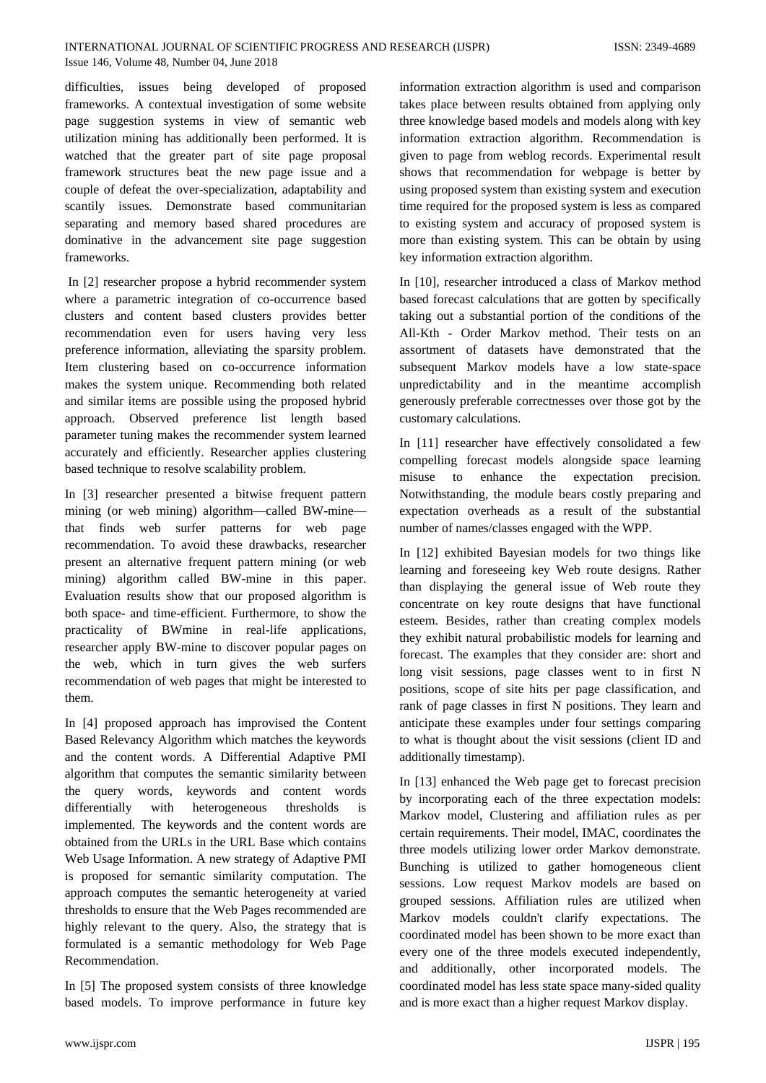difficulties, issues being developed of proposed frameworks. A contextual investigation of some website page suggestion systems in view of semantic web utilization mining has additionally been performed. It is watched that the greater part of site page proposal framework structures beat the new page issue and a couple of defeat the over-specialization, adaptability and scantily issues. Demonstrate based communitarian separating and memory based shared procedures are dominative in the advancement site page suggestion frameworks.

In [2] researcher propose a hybrid recommender system where a parametric integration of co-occurrence based clusters and content based clusters provides better recommendation even for users having very less preference information, alleviating the sparsity problem. Item clustering based on co-occurrence information makes the system unique. Recommending both related and similar items are possible using the proposed hybrid approach. Observed preference list length based parameter tuning makes the recommender system learned accurately and efficiently. Researcher applies clustering based technique to resolve scalability problem.

In [3] researcher presented a bitwise frequent pattern mining (or web mining) algorithm—called BW-mine that finds web surfer patterns for web page recommendation. To avoid these drawbacks, researcher present an alternative frequent pattern mining (or web mining) algorithm called BW-mine in this paper. Evaluation results show that our proposed algorithm is both space- and time-efficient. Furthermore, to show the practicality of BWmine in real-life applications, researcher apply BW-mine to discover popular pages on the web, which in turn gives the web surfers recommendation of web pages that might be interested to them.

In [4] proposed approach has improvised the Content Based Relevancy Algorithm which matches the keywords and the content words. A Differential Adaptive PMI algorithm that computes the semantic similarity between the query words, keywords and content words differentially with heterogeneous thresholds is implemented. The keywords and the content words are obtained from the URLs in the URL Base which contains Web Usage Information. A new strategy of Adaptive PMI is proposed for semantic similarity computation. The approach computes the semantic heterogeneity at varied thresholds to ensure that the Web Pages recommended are highly relevant to the query. Also, the strategy that is formulated is a semantic methodology for Web Page Recommendation.

In [5] The proposed system consists of three knowledge based models. To improve performance in future key

information extraction algorithm is used and comparison takes place between results obtained from applying only three knowledge based models and models along with key information extraction algorithm. Recommendation is given to page from weblog records. Experimental result shows that recommendation for webpage is better by using proposed system than existing system and execution time required for the proposed system is less as compared to existing system and accuracy of proposed system is more than existing system. This can be obtain by using key information extraction algorithm.

In [10], researcher introduced a class of Markov method based forecast calculations that are gotten by specifically taking out a substantial portion of the conditions of the All-Kth - Order Markov method. Their tests on an assortment of datasets have demonstrated that the subsequent Markov models have a low state-space unpredictability and in the meantime accomplish generously preferable correctnesses over those got by the customary calculations.

In [11] researcher have effectively consolidated a few compelling forecast models alongside space learning misuse to enhance the expectation precision. Notwithstanding, the module bears costly preparing and expectation overheads as a result of the substantial number of names/classes engaged with the WPP.

In [12] exhibited Bayesian models for two things like learning and foreseeing key Web route designs. Rather than displaying the general issue of Web route they concentrate on key route designs that have functional esteem. Besides, rather than creating complex models they exhibit natural probabilistic models for learning and forecast. The examples that they consider are: short and long visit sessions, page classes went to in first N positions, scope of site hits per page classification, and rank of page classes in first N positions. They learn and anticipate these examples under four settings comparing to what is thought about the visit sessions (client ID and additionally timestamp).

In [13] enhanced the Web page get to forecast precision by incorporating each of the three expectation models: Markov model, Clustering and affiliation rules as per certain requirements. Their model, IMAC, coordinates the three models utilizing lower order Markov demonstrate. Bunching is utilized to gather homogeneous client sessions. Low request Markov models are based on grouped sessions. Affiliation rules are utilized when Markov models couldn't clarify expectations. The coordinated model has been shown to be more exact than every one of the three models executed independently, and additionally, other incorporated models. The coordinated model has less state space many-sided quality and is more exact than a higher request Markov display.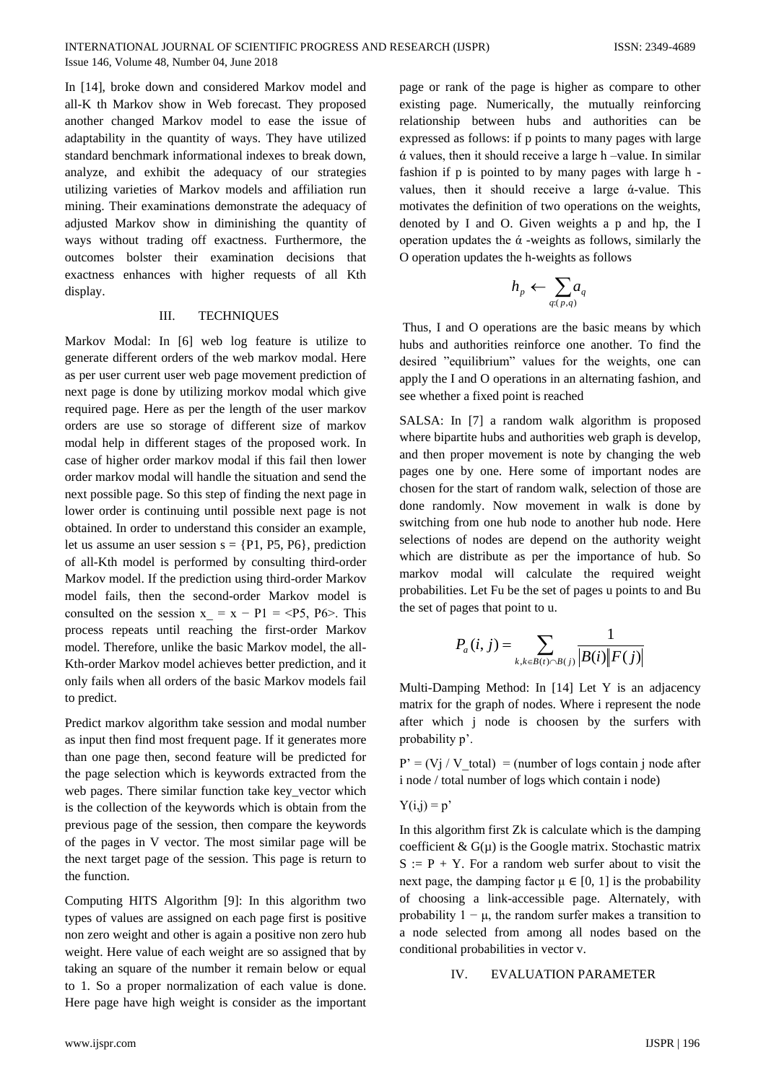In [14], broke down and considered Markov model and all-K th Markov show in Web forecast. They proposed another changed Markov model to ease the issue of adaptability in the quantity of ways. They have utilized standard benchmark informational indexes to break down, analyze, and exhibit the adequacy of our strategies utilizing varieties of Markov models and affiliation run mining. Their examinations demonstrate the adequacy of adjusted Markov show in diminishing the quantity of ways without trading off exactness. Furthermore, the outcomes bolster their examination decisions that exactness enhances with higher requests of all Kth display.

#### III. TECHNIQUES

Markov Modal: In [6] web log feature is utilize to generate different orders of the web markov modal. Here as per user current user web page movement prediction of next page is done by utilizing morkov modal which give required page. Here as per the length of the user markov orders are use so storage of different size of markov modal help in different stages of the proposed work. In case of higher order markov modal if this fail then lower order markov modal will handle the situation and send the next possible page. So this step of finding the next page in lower order is continuing until possible next page is not obtained. In order to understand this consider an example, let us assume an user session  $s = \{P1, P5, P6\}$ , prediction of all-Kth model is performed by consulting third-order Markov model. If the prediction using third-order Markov model fails, then the second-order Markov model is consulted on the session  $x = x - P1 = *P*5, *P*6*>* This$ process repeats until reaching the first-order Markov model. Therefore, unlike the basic Markov model, the all-Kth-order Markov model achieves better prediction, and it only fails when all orders of the basic Markov models fail to predict.

Predict markov algorithm take session and modal number as input then find most frequent page. If it generates more than one page then, second feature will be predicted for the page selection which is keywords extracted from the web pages. There similar function take key\_vector which is the collection of the keywords which is obtain from the previous page of the session, then compare the keywords of the pages in V vector. The most similar page will be the next target page of the session. This page is return to the function.

Computing HITS Algorithm [9]: In this algorithm two types of values are assigned on each page first is positive non zero weight and other is again a positive non zero hub weight. Here value of each weight are so assigned that by taking an square of the number it remain below or equal to 1. So a proper normalization of each value is done. Here page have high weight is consider as the important page or rank of the page is higher as compare to other existing page. Numerically, the mutually reinforcing relationship between hubs and authorities can be expressed as follows: if p points to many pages with large  $\alpha$  values, then it should receive a large h –value. In similar fashion if p is pointed to by many pages with large h values, then it should receive a large ά-value. This motivates the definition of two operations on the weights, denoted by I and O. Given weights a p and hp, the I operation updates the  $\alpha$  -weights as follows, similarly the O operation updates the h-weights as follows

$$
h_{\mathit{p}} \gets \sum_{\mathit{q:}(\mathit{p},\mathit{q})} \mathit{a_{\mathit{q}}}
$$

Thus, I and O operations are the basic means by which hubs and authorities reinforce one another. To find the desired "equilibrium" values for the weights, one can apply the I and O operations in an alternating fashion, and see whether a fixed point is reached

SALSA: In [7] a random walk algorithm is proposed where bipartite hubs and authorities web graph is develop, and then proper movement is note by changing the web pages one by one. Here some of important nodes are chosen for the start of random walk, selection of those are done randomly. Now movement in walk is done by switching from one hub node to another hub node. Here selections of nodes are depend on the authority weight which are distribute as per the importance of hub. So markov modal will calculate the required weight probabilities. Let Fu be the set of pages u points to and Bu the set of pages that point to u.

$$
P_a(i, j) = \sum_{k, k \in B(i) \cap B(j)} \frac{1}{|B(i)||F(j)|}
$$

Multi-Damping Method: In [14] Let Y is an adjacency matrix for the graph of nodes. Where i represent the node after which j node is choosen by the surfers with probability p'.

 $P' = (Vj / V \text{ total}) = (number of logs contain j node after$ i node / total number of logs which contain i node)

$$
Y(i,j) = p^*
$$

In this algorithm first Zk is calculate which is the damping coefficient  $\&$  G( $\mu$ ) is the Google matrix. Stochastic matrix  $S := P + Y$ . For a random web surfer about to visit the next page, the damping factor  $\mu \in [0, 1]$  is the probability of choosing a link-accessible page. Alternately, with probability  $1 - \mu$ , the random surfer makes a transition to a node selected from among all nodes based on the conditional probabilities in vector v.

#### IV. EVALUATION PARAMETER